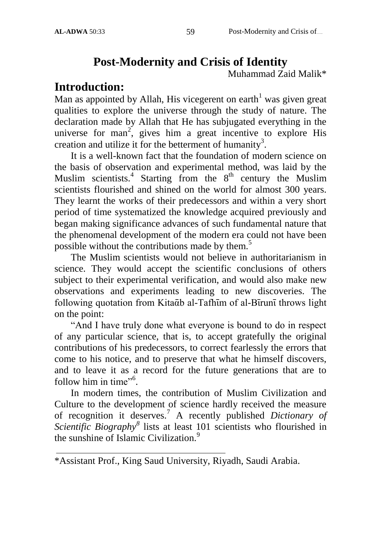# **Post-Modernity and Crisis of Identity**

Muhammad Zaid Malik\*

# **Introduction:**

Man as appointed by Allah, His vicegerent on earth<sup>1</sup> was given great qualities to explore the universe through the study of nature. The declaration made by Allah that He has subjugated everything in the universe for man<sup>2</sup>, gives him a great incentive to explore His creation and utilize it for the betterment of humanity<sup>3</sup>.

It is a well-known fact that the foundation of modern science on the basis of observation and experimental method, was laid by the Muslim scientists.<sup>4</sup> Starting from the  $8<sup>th</sup>$  century the Muslim scientists flourished and shined on the world for almost 300 years. They learnt the works of their predecessors and within a very short period of time systematized the knowledge acquired previously and began making significance advances of such fundamental nature that the phenomenal development of the modern era could not have been possible without the contributions made by them.<sup>5</sup>

The Muslim scientists would not believe in authoritarianism in science. They would accept the scientific conclusions of others subject to their experimental verification, and would also make new observations and experiments leading to new discoveries. The following quotation from Kitaᾱb al-Tafhūm of al-Būrunū throws light on the point:

"And I have truly done what everyone is bound to do in respect of any particular science, that is, to accept gratefully the original contributions of his predecessors, to correct fearlessly the errors that come to his notice, and to preserve that what he himself discovers, and to leave it as a record for the future generations that are to follow him in time".

In modern times, the contribution of Muslim Civilization and Culture to the development of science hardly received the measure of recognition it deserves.<sup>7</sup> A recently published *Dictionary of Scientific Biography<sup>8</sup>* lists at least 101 scientists who flourished in the sunshine of Islamic Civilization.<sup>9</sup>

<sup>\*</sup>Assistant Prof., King Saud University, Riyadh, Saudi Arabia.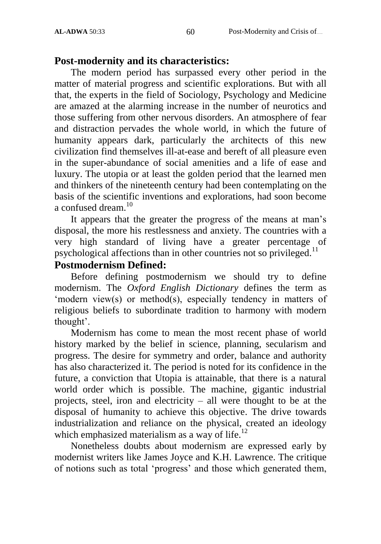#### **Post-modernity and its characteristics:**

The modern period has surpassed every other period in the matter of material progress and scientific explorations. But with all that, the experts in the field of Sociology, Psychology and Medicine are amazed at the alarming increase in the number of neurotics and those suffering from other nervous disorders. An atmosphere of fear and distraction pervades the whole world, in which the future of humanity appears dark, particularly the architects of this new civilization find themselves ill-at-ease and bereft of all pleasure even in the super-abundance of social amenities and a life of ease and luxury. The utopia or at least the golden period that the learned men and thinkers of the nineteenth century had been contemplating on the basis of the scientific inventions and explorations, had soon become a confused dream  $10$ 

It appears that the greater the progress of the means at man"s disposal, the more his restlessness and anxiety. The countries with a very high standard of living have a greater percentage of psychological affections than in other countries not so privileged.<sup>11</sup>

#### **Postmodernism Defined:**

Before defining postmodernism we should try to define modernism. The *Oxford English Dictionary* defines the term as 'modern view(s) or method(s), especially tendency in matters of religious beliefs to subordinate tradition to harmony with modern thought'.

Modernism has come to mean the most recent phase of world history marked by the belief in science, planning, secularism and progress. The desire for symmetry and order, balance and authority has also characterized it. The period is noted for its confidence in the future, a conviction that Utopia is attainable, that there is a natural world order which is possible. The machine, gigantic industrial projects, steel, iron and electricity – all were thought to be at the disposal of humanity to achieve this objective. The drive towards industrialization and reliance on the physical, created an ideology which emphasized materialism as a way of life. $^{12}$ 

Nonetheless doubts about modernism are expressed early by modernist writers like James Joyce and K.H. Lawrence. The critique of notions such as total "progress" and those which generated them,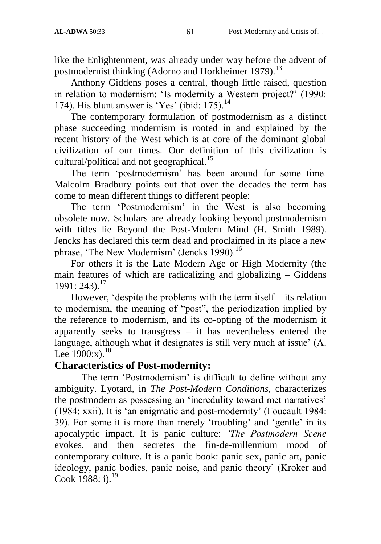like the Enlightenment, was already under way before the advent of postmodernist thinking (Adorno and Horkheimer 1979).<sup>13</sup>

Anthony Giddens poses a central, though little raised, question in relation to modernism: "Is modernity a Western project?" (1990: 174). His blunt answer is 'Yes' (ibid:  $175$ ).<sup>14</sup>

The contemporary formulation of postmodernism as a distinct phase succeeding modernism is rooted in and explained by the recent history of the West which is at core of the dominant global civilization of our times. Our definition of this civilization is cultural/political and not geographical.<sup>15</sup>

The term "postmodernism" has been around for some time. Malcolm Bradbury points out that over the decades the term has come to mean different things to different people:

The term "Postmodernism" in the West is also becoming obsolete now. Scholars are already looking beyond postmodernism with titles lie Beyond the Post-Modern Mind (H. Smith 1989). Jencks has declared this term dead and proclaimed in its place a new phrase, 'The New Modernism' (Jencks 1990).<sup>16</sup>

For others it is the Late Modern Age or High Modernity (the main features of which are radicalizing and globalizing – Giddens  $1991: 243$ .<sup>17</sup>

However, "despite the problems with the term itself – its relation to modernism, the meaning of "post", the periodization implied by the reference to modernism, and its co-opting of the modernism it apparently seeks to transgress  $-$  it has nevertheless entered the language, although what it designates is still very much at issue' (A. Lee  $1900:x$ <sup>18</sup>

#### **Characteristics of Post-modernity:**

The term 'Postmodernism' is difficult to define without any ambiguity. Lyotard, in *The Post-Modern Conditions*, characterizes the postmodern as possessing an "incredulity toward met narratives" (1984: xxii). It is "an enigmatic and post-modernity" (Foucault 1984: 39). For some it is more than merely 'troubling' and 'gentle' in its apocalyptic impact. It is panic culture: *'The Postmodern Scene*  evokes, and then secretes the fin-de-millennium mood of contemporary culture. It is a panic book: panic sex, panic art, panic ideology, panic bodies, panic noise, and panic theory" (Kroker and Cook 1988: i). $^{19}$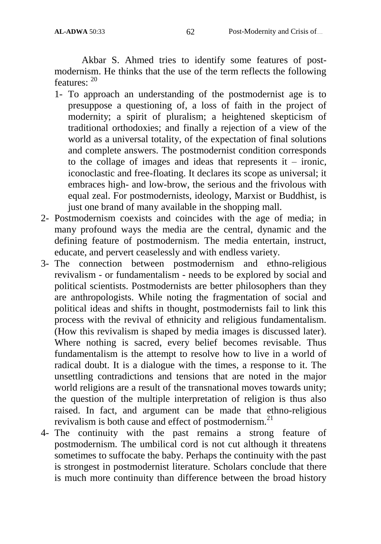Akbar S. Ahmed tries to identify some features of postmodernism. He thinks that the use of the term reflects the following features: <sup>20</sup>

- 1- To approach an understanding of the postmodernist age is to presuppose a questioning of, a loss of faith in the project of modernity; a spirit of pluralism; a heightened skepticism of traditional orthodoxies; and finally a rejection of a view of the world as a universal totality, of the expectation of final solutions and complete answers. The postmodernist condition corresponds to the collage of images and ideas that represents it  $-$  ironic, iconoclastic and free-floating. It declares its scope as universal; it embraces high- and low-brow, the serious and the frivolous with equal zeal. For postmodernists, ideology, Marxist or Buddhist, is just one brand of many available in the shopping mall.
- 2- Postmodernism coexists and coincides with the age of media; in many profound ways the media are the central, dynamic and the defining feature of postmodernism. The media entertain, instruct, educate, and pervert ceaselessly and with endless variety.
- 3- The connection between postmodernism and ethno-religious revivalism - or fundamentalism - needs to be explored by social and political scientists. Postmodernists are better philosophers than they are anthropologists. While noting the fragmentation of social and political ideas and shifts in thought, postmodernists fail to link this process with the revival of ethnicity and religious fundamentalism. (How this revivalism is shaped by media images is discussed later). Where nothing is sacred, every belief becomes revisable. Thus fundamentalism is the attempt to resolve how to live in a world of radical doubt. It is a dialogue with the times, a response to it. The unsettling contradictions and tensions that are noted in the major world religions are a result of the transnational moves towards unity; the question of the multiple interpretation of religion is thus also raised. In fact, and argument can be made that ethno-religious revivalism is both cause and effect of postmodernism.<sup>21</sup>
- 4- The continuity with the past remains a strong feature of postmodernism. The umbilical cord is not cut although it threatens sometimes to suffocate the baby. Perhaps the continuity with the past is strongest in postmodernist literature. Scholars conclude that there is much more continuity than difference between the broad history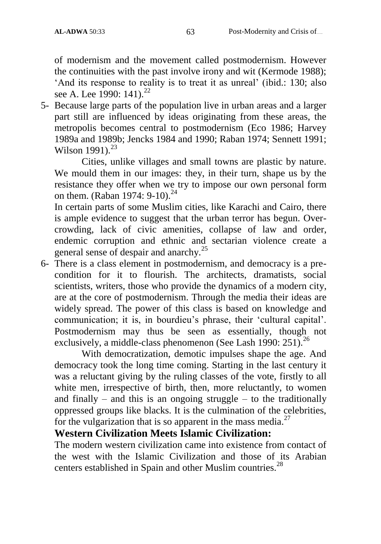of modernism and the movement called postmodernism. However the continuities with the past involve irony and wit (Kermode 1988); 'And its response to reality is to treat it as unreal' (ibid.: 130; also see A. Lee 1990:  $141$ .<sup>22</sup>

5- Because large parts of the population live in urban areas and a larger part still are influenced by ideas originating from these areas, the metropolis becomes central to postmodernism (Eco 1986; Harvey 1989a and 1989b; Jencks 1984 and 1990; Raban 1974; Sennett 1991; Wilson  $1991$ <sup>23</sup>

Cities, unlike villages and small towns are plastic by nature. We mould them in our images: they, in their turn, shape us by the resistance they offer when we try to impose our own personal form on them. (Raban 1974: 9-10).<sup>24</sup>

In certain parts of some Muslim cities, like Karachi and Cairo, there is ample evidence to suggest that the urban terror has begun. Overcrowding, lack of civic amenities, collapse of law and order, endemic corruption and ethnic and sectarian violence create a general sense of despair and anarchy.<sup>25</sup>

6- There is a class element in postmodernism, and democracy is a precondition for it to flourish. The architects, dramatists, social scientists, writers, those who provide the dynamics of a modern city, are at the core of postmodernism. Through the media their ideas are widely spread. The power of this class is based on knowledge and communication; it is, in bourdieu's phrase, their 'cultural capital'. Postmodernism may thus be seen as essentially, though not exclusively, a middle-class phenomenon (See Lash 1990: 251).<sup>26</sup>

With democratization, demotic impulses shape the age. And democracy took the long time coming. Starting in the last century it was a reluctant giving by the ruling classes of the vote, firstly to all white men, irrespective of birth, then, more reluctantly, to women and finally – and this is an ongoing struggle – to the traditionally oppressed groups like blacks. It is the culmination of the celebrities, for the vulgarization that is so apparent in the mass media.<sup>27</sup>

#### **Western Civilization Meets Islamic Civilization:**

The modern western civilization came into existence from contact of the west with the Islamic Civilization and those of its Arabian centers established in Spain and other Muslim countries.<sup>28</sup>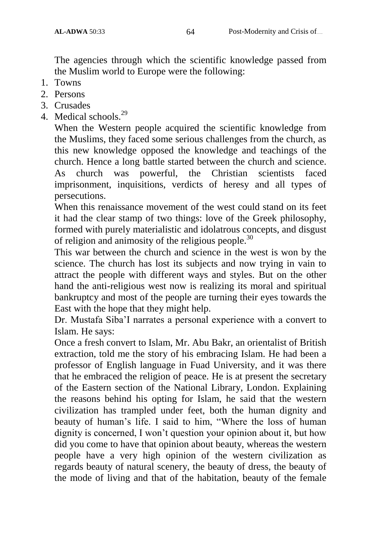The agencies through which the scientific knowledge passed from the Muslim world to Europe were the following:

- 1. Towns
- 2. Persons
- 3. Crusades
- 4. Medical schools.<sup>29</sup>

When the Western people acquired the scientific knowledge from the Muslims, they faced some serious challenges from the church, as this new knowledge opposed the knowledge and teachings of the church. Hence a long battle started between the church and science. As church was powerful, the Christian scientists faced imprisonment, inquisitions, verdicts of heresy and all types of persecutions.

When this renaissance movement of the west could stand on its feet it had the clear stamp of two things: love of the Greek philosophy, formed with purely materialistic and idolatrous concepts, and disgust of religion and animosity of the religious people.<sup>30</sup>

This war between the church and science in the west is won by the science. The church has lost its subjects and now trying in vain to attract the people with different ways and styles. But on the other hand the anti-religious west now is realizing its moral and spiritual bankruptcy and most of the people are turning their eyes towards the East with the hope that they might help.

Dr. Mustafa Siba"I narrates a personal experience with a convert to Islam. He says:

Once a fresh convert to Islam, Mr. Abu Bakr, an orientalist of British extraction, told me the story of his embracing Islam. He had been a professor of English language in Fuad University, and it was there that he embraced the religion of peace. He is at present the secretary of the Eastern section of the National Library, London. Explaining the reasons behind his opting for Islam, he said that the western civilization has trampled under feet, both the human dignity and beauty of human's life. I said to him, "Where the loss of human dignity is concerned, I won't question your opinion about it, but how did you come to have that opinion about beauty, whereas the western people have a very high opinion of the western civilization as regards beauty of natural scenery, the beauty of dress, the beauty of the mode of living and that of the habitation, beauty of the female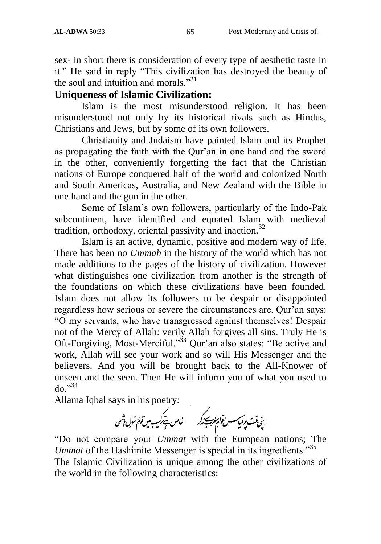sex- in short there is consideration of every type of aesthetic taste in it." He said in reply "This civilization has destroyed the beauty of the soul and intuition and morals."<sup>31</sup>

#### **Uniqueness of Islamic Civilization:**

Islam is the most misunderstood religion. It has been misunderstood not only by its historical rivals such as Hindus, Christians and Jews, but by some of its own followers.

Christianity and Judaism have painted Islam and its Prophet as propagating the faith with the Qur"an in one hand and the sword in the other, conveniently forgetting the fact that the Christian nations of Europe conquered half of the world and colonized North and South Americas, Australia, and New Zealand with the Bible in one hand and the gun in the other.

Some of Islam"s own followers, particularly of the Indo-Pak subcontinent, have identified and equated Islam with medieval tradition, orthodoxy, oriental passivity and inaction.<sup>32</sup>

Islam is an active, dynamic, positive and modern way of life. There has been no *Ummah* in the history of the world which has not made additions to the pages of the history of civilization. However what distinguishes one civilization from another is the strength of the foundations on which these civilizations have been founded. Islam does not allow its followers to be despair or disappointed regardless how serious or severe the circumstances are. Qur'an says: "O my servants, who have transgressed against themselves! Despair not of the Mercy of Allah: verily Allah forgives all sins. Truly He is Oft-Forgiving, Most-Merciful."<sup>33</sup> Qur'an also states: "Be active and work, Allah will see your work and so will His Messenger and the believers. And you will be brought back to the All-Knower of unseen and the seen. Then He will inform you of what you used to  $d\Omega$ <sup> $,34$ </sup>

Allama Iqbal says in his poetry:<br>اپنی مایت پرتمی سسن قارم پخت برگذرید من خاص ستیرکنیک میں قوم سنول تاثیری

"Do not compare your *Ummat* with the European nations; The *Ummat* of the Hashimite Messenger is special in its ingredients."<sup>35</sup> The Islamic Civilization is unique among the other civilizations of the world in the following characteristics: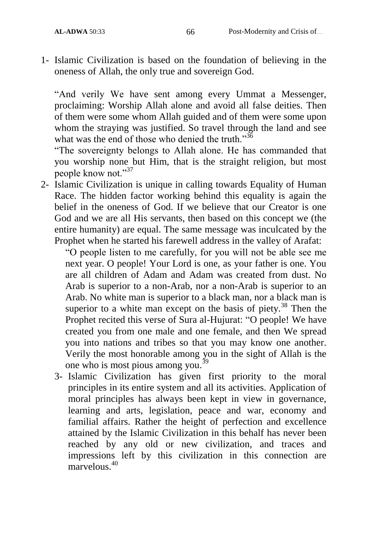1- Islamic Civilization is based on the foundation of believing in the oneness of Allah, the only true and sovereign God.

"And verily We have sent among every Ummat a Messenger, proclaiming: Worship Allah alone and avoid all false deities. Then of them were some whom Allah guided and of them were some upon whom the straying was justified. So travel through the land and see what was the end of those who denied the truth."<sup>36</sup>

"The sovereignty belongs to Allah alone. He has commanded that you worship none but Him, that is the straight religion, but most people know not."<sup>37</sup>

2- Islamic Civilization is unique in calling towards Equality of Human Race. The hidden factor working behind this equality is again the belief in the oneness of God. If we believe that our Creator is one God and we are all His servants, then based on this concept we (the entire humanity) are equal. The same message was inculcated by the Prophet when he started his farewell address in the valley of Arafat:

"O people listen to me carefully, for you will not be able see me next year. O people! Your Lord is one, as your father is one. You are all children of Adam and Adam was created from dust. No Arab is superior to a non-Arab, nor a non-Arab is superior to an Arab. No white man is superior to a black man, nor a black man is superior to a white man except on the basis of piety.<sup>38</sup> Then the Prophet recited this verse of Sura al-Hujurat: "O people! We have created you from one male and one female, and then We spread you into nations and tribes so that you may know one another. Verily the most honorable among you in the sight of Allah is the one who is most pious among you.<sup>39</sup>

3- Islamic Civilization has given first priority to the moral principles in its entire system and all its activities. Application of moral principles has always been kept in view in governance, learning and arts, legislation, peace and war, economy and familial affairs. Rather the height of perfection and excellence attained by the Islamic Civilization in this behalf has never been reached by any old or new civilization, and traces and impressions left by this civilization in this connection are marvelous.<sup>40</sup>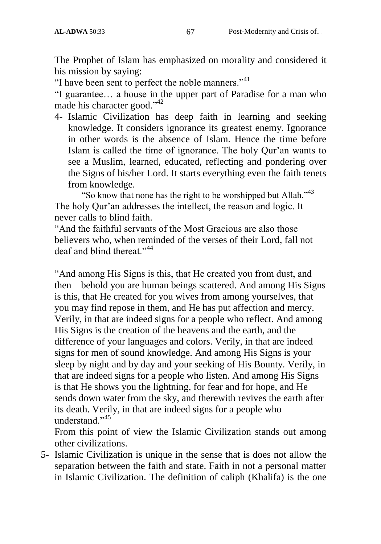The Prophet of Islam has emphasized on morality and considered it his mission by saying:

"I have been sent to perfect the noble manners."<sup>41</sup>

"I guarantee… a house in the upper part of Paradise for a man who made his character good."<sup>42</sup>

4- Islamic Civilization has deep faith in learning and seeking knowledge. It considers ignorance its greatest enemy. Ignorance in other words is the absence of Islam. Hence the time before Islam is called the time of ignorance. The holy Qur"an wants to see a Muslim, learned, educated, reflecting and pondering over the Signs of his/her Lord. It starts everything even the faith tenets from knowledge.

"So know that none has the right to be worshipped but Allah."<sup>43</sup> The holy Qur'an addresses the intellect, the reason and logic. It never calls to blind faith.

"And the faithful servants of the Most Gracious are also those believers who, when reminded of the verses of their Lord, fall not deaf and blind thereat."<sup>44</sup>

"And among His Signs is this, that He created you from dust, and then – behold you are human beings scattered. And among His Signs is this, that He created for you wives from among yourselves, that you may find repose in them, and He has put affection and mercy. Verily, in that are indeed signs for a people who reflect. And among His Signs is the creation of the heavens and the earth, and the difference of your languages and colors. Verily, in that are indeed signs for men of sound knowledge. And among His Signs is your sleep by night and by day and your seeking of His Bounty. Verily, in that are indeed signs for a people who listen. And among His Signs is that He shows you the lightning, for fear and for hope, and He sends down water from the sky, and therewith revives the earth after its death. Verily, in that are indeed signs for a people who understand<sup>"45</sup>

From this point of view the Islamic Civilization stands out among other civilizations.

5- Islamic Civilization is unique in the sense that is does not allow the separation between the faith and state. Faith in not a personal matter in Islamic Civilization. The definition of caliph (Khalifa) is the one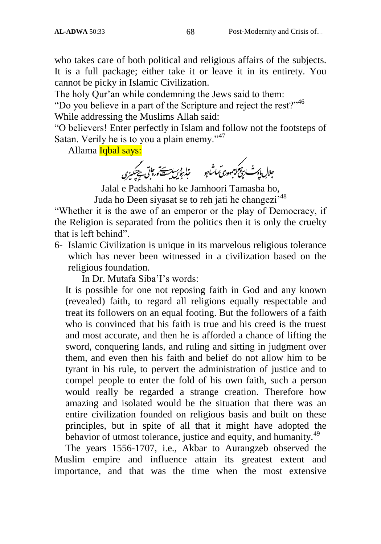who takes care of both political and religious affairs of the subjects. It is a full package; either take it or leave it in its entirety. You cannot be picky in Islamic Civilization.

The holy Qur'an while condemning the Jews said to them:

"Do you believe in a part of the Scripture and reject the rest?"<sup>46</sup>

While addressing the Muslims Allah said:

"O believers! Enter perfectly in Islam and follow not the footsteps of Satan. Verily he is to you a plain enemy."<sup>47</sup>

Allama <mark>Iqbal says:</mark><br>ج<sub>لال ای</sub>مث بر*پیمولیتهدری تماش<sub>ا</sub>رو میل شده بر تابی به بین بین بین بین بین استیاب به تعدا*ل

Jalal e Padshahi ho ke Jamhoori Tamasha ho, Juda ho Deen siyasat se to reh jati he changezi<sup>,48</sup>

"Whether it is the awe of an emperor or the play of Democracy, if the Religion is separated from the politics then it is only the cruelty that is left behind".

6- Islamic Civilization is unique in its marvelous religious tolerance which has never been witnessed in a civilization based on the religious foundation.

In Dr. Mutafa Siba"I"s words:

It is possible for one not reposing faith in God and any known (revealed) faith, to regard all religions equally respectable and treat its followers on an equal footing. But the followers of a faith who is convinced that his faith is true and his creed is the truest and most accurate, and then he is afforded a chance of lifting the sword, conquering lands, and ruling and sitting in judgment over them, and even then his faith and belief do not allow him to be tyrant in his rule, to pervert the administration of justice and to compel people to enter the fold of his own faith, such a person would really be regarded a strange creation. Therefore how amazing and isolated would be the situation that there was an entire civilization founded on religious basis and built on these principles, but in spite of all that it might have adopted the behavior of utmost tolerance, justice and equity, and humanity.<sup>49</sup>

The years 1556-1707, i.e., Akbar to Aurangzeb observed the Muslim empire and influence attain its greatest extent and importance, and that was the time when the most extensive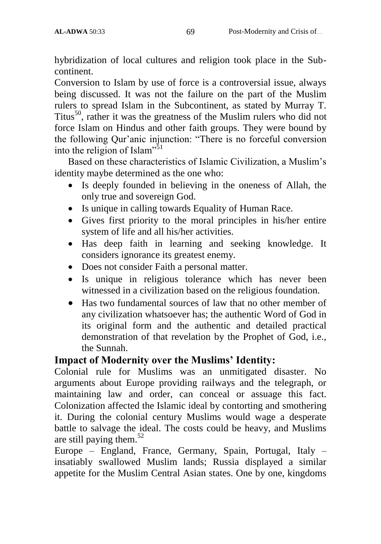hybridization of local cultures and religion took place in the Subcontinent.

Conversion to Islam by use of force is a controversial issue, always being discussed. It was not the failure on the part of the Muslim rulers to spread Islam in the Subcontinent, as stated by Murray T. Titus<sup>50</sup>, rather it was the greatness of the Muslim rulers who did not force Islam on Hindus and other faith groups. They were bound by the following Qur'anic injunction: "There is no forceful conversion into the religion of Islam"<sup>51</sup>

Based on these characteristics of Islamic Civilization, a Muslim"s identity maybe determined as the one who:

- Is deeply founded in believing in the oneness of Allah, the only true and sovereign God.
- Is unique in calling towards Equality of Human Race.
- Gives first priority to the moral principles in his/her entire system of life and all his/her activities.
- Has deep faith in learning and seeking knowledge. It considers ignorance its greatest enemy.
- Does not consider Faith a personal matter.
- Is unique in religious tolerance which has never been witnessed in a civilization based on the religious foundation.
- Has two fundamental sources of law that no other member of any civilization whatsoever has; the authentic Word of God in its original form and the authentic and detailed practical demonstration of that revelation by the Prophet of God, i.e., the Sunnah.

#### **Impact of Modernity over the Muslims' Identity:**

Colonial rule for Muslims was an unmitigated disaster. No arguments about Europe providing railways and the telegraph, or maintaining law and order, can conceal or assuage this fact. Colonization affected the Islamic ideal by contorting and smothering it. During the colonial century Muslims would wage a desperate battle to salvage the ideal. The costs could be heavy, and Muslims are still paying them.<sup>52</sup>

Europe – England, France, Germany, Spain, Portugal, Italy – insatiably swallowed Muslim lands; Russia displayed a similar appetite for the Muslim Central Asian states. One by one, kingdoms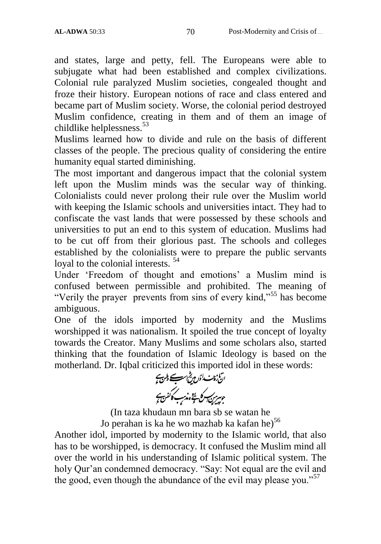and states, large and petty, fell. The Europeans were able to subjugate what had been established and complex civilizations. Colonial rule paralyzed Muslim societies, congealed thought and froze their history. European notions of race and class entered and became part of Muslim society. Worse, the colonial period destroyed Muslim confidence, creating in them and of them an image of childlike helplessness.<sup>53</sup>

Muslims learned how to divide and rule on the basis of different classes of the people. The precious quality of considering the entire humanity equal started diminishing.

The most important and dangerous impact that the colonial system left upon the Muslim minds was the secular way of thinking. Colonialists could never prolong their rule over the Muslim world with keeping the Islamic schools and universities intact. They had to confiscate the vast lands that were possessed by these schools and universities to put an end to this system of education. Muslims had to be cut off from their glorious past. The schools and colleges established by the colonialists were to prepare the public servants loyal to the colonial interests.<sup>54</sup>

Under "Freedom of thought and emotions" a Muslim mind is confused between permissible and prohibited. The meaning of "Verily the prayer prevents from sins of every kind,"<sup>55</sup> has become ambiguous.

One of the idols imported by modernity and the Muslims worshipped it was nationalism. It spoiled the true concept of loyalty towards the Creator. Many Muslims and some scholars also, started thinking that the foundation of Islamic Ideology is based on the motherland. Dr. Iqbal criticized this imported idol in these words:<br>التي بين السلب الجن بين السلب المسلم المسلم المسلم المسلم المسلم المسلم المسلم المسلم المسلم المسلم المسلم ال

ے ۔<br>ع*یس ک*ے شخصیت کا کفن کی

(In taza khudaun mn bara sb se watan he Jo perahan is ka he wo mazhab ka kafan he)<sup>56</sup>

Another idol, imported by modernity to the Islamic world, that also has to be worshipped, is democracy. It confused the Muslim mind all over the world in his understanding of Islamic political system. The holy Qur'an condemned democracy. "Say: Not equal are the evil and the good, even though the abundance of the evil may please you."<sup>57</sup>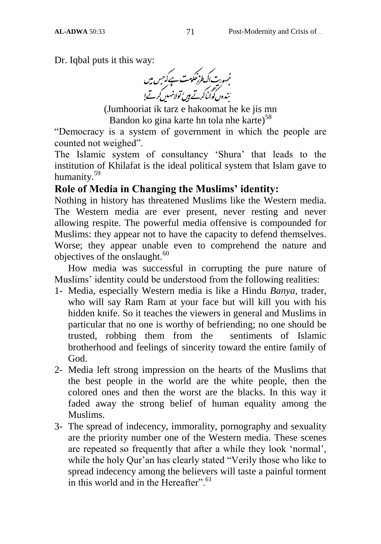Dr. Iqbal puts it this way:<br>مُجهورت اک از مُحکومت ہے کہ حس میں<br>بَندوں کو کہانکہ کہتے ہیں تولانہ میں کرتے!

(Jumhooriat ik tarz e hakoomat he ke jis mn Bandon ko gina karte hn tola nhe karte) $58$ 

"Democracy is a system of government in which the people are counted not weighed".

The Islamic system of consultancy "Shura" that leads to the institution of Khilafat is the ideal political system that Islam gave to humanity.<sup>59</sup>

### **Role of Media in Changing the Muslims' identity:**

Nothing in history has threatened Muslims like the Western media. The Western media are ever present, never resting and never allowing respite. The powerful media offensive is compounded for Muslims: they appear not to have the capacity to defend themselves. Worse; they appear unable even to comprehend the nature and objectives of the onslaught.<sup>60</sup>

How media was successful in corrupting the pure nature of Muslims' identity could be understood from the following realities:

- 1- Media, especially Western media is like a Hindu *Banya*, trader, who will say Ram Ram at your face but will kill you with his hidden knife. So it teaches the viewers in general and Muslims in particular that no one is worthy of befriending; no one should be trusted, robbing them from the sentiments of Islamic brotherhood and feelings of sincerity toward the entire family of God.
- 2- Media left strong impression on the hearts of the Muslims that the best people in the world are the white people, then the colored ones and then the worst are the blacks. In this way it faded away the strong belief of human equality among the Muslims.
- 3- The spread of indecency, immorality, pornography and sexuality are the priority number one of the Western media. These scenes are repeated so frequently that after a while they look "normal", while the holy Qur'an has clearly stated "Verily those who like to spread indecency among the believers will taste a painful torment in this world and in the Hereafter".  $61$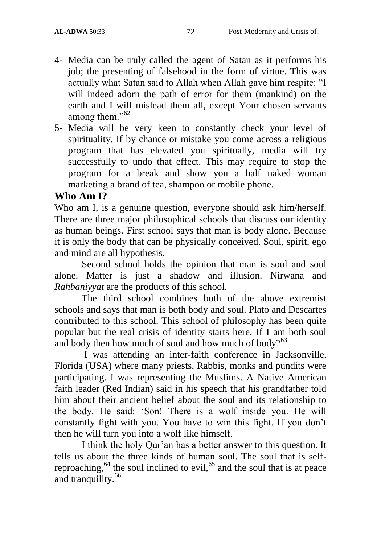- 4- Media can be truly called the agent of Satan as it performs his job; the presenting of falsehood in the form of virtue. This was actually what Satan said to Allah when Allah gave him respite: "I will indeed adorn the path of error for them (mankind) on the earth and I will mislead them all, except Your chosen servants among them."<sup>62</sup>
- 5- Media will be very keen to constantly check your level of spirituality. If by chance or mistake you come across a religious program that has elevated you spiritually, media will try successfully to undo that effect. This may require to stop the program for a break and show you a half naked woman marketing a brand of tea, shampoo or mobile phone.

## **Who Am I?**

Who am I, is a genuine question, everyone should ask him/herself. There are three major philosophical schools that discuss our identity as human beings. First school says that man is body alone. Because it is only the body that can be physically conceived. Soul, spirit, ego and mind are all hypothesis.

Second school holds the opinion that man is soul and soul alone. Matter is just a shadow and illusion. Nirwana and *Rahbaniyyat* are the products of this school.

The third school combines both of the above extremist schools and says that man is both body and soul. Plato and Descartes contributed to this school. This school of philosophy has been quite popular but the real crisis of identity starts here. If I am both soul and body then how much of soul and how much of body? $63$ 

I was attending an inter-faith conference in Jacksonville, Florida (USA) where many priests, Rabbis, monks and pundits were participating. I was representing the Muslims. A Native American faith leader (Red Indian) said in his speech that his grandfather told him about their ancient belief about the soul and its relationship to the body. He said: "Son! There is a wolf inside you. He will constantly fight with you. You have to win this fight. If you don"t then he will turn you into a wolf like himself.

I think the holy Qur"an has a better answer to this question. It tells us about the three kinds of human soul. The soul that is selfreproaching,<sup>64</sup> the soul inclined to evil,<sup>65</sup> and the soul that is at peace and tranquility.<sup>66</sup>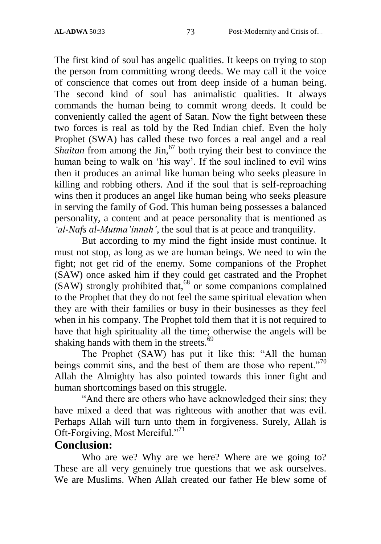The first kind of soul has angelic qualities. It keeps on trying to stop the person from committing wrong deeds. We may call it the voice of conscience that comes out from deep inside of a human being. The second kind of soul has animalistic qualities. It always commands the human being to commit wrong deeds. It could be conveniently called the agent of Satan. Now the fight between these two forces is real as told by the Red Indian chief. Even the holy Prophet (SWA) has called these two forces a real angel and a real *Shaitan* from among the  $\text{Sin},^{67}$  both trying their best to convince the human being to walk on 'his way'. If the soul inclined to evil wins then it produces an animal like human being who seeks pleasure in killing and robbing others. And if the soul that is self-reproaching wins then it produces an angel like human being who seeks pleasure in serving the family of God. This human being possesses a balanced personality, a content and at peace personality that is mentioned as *'al-Nafs al-Mutma'innah'*, the soul that is at peace and tranquility.

But according to my mind the fight inside must continue. It must not stop, as long as we are human beings. We need to win the fight; not get rid of the enemy. Some companions of the Prophet (SAW) once asked him if they could get castrated and the Prophet  $(SAW)$  strongly prohibited that,<sup>68</sup> or some companions complained to the Prophet that they do not feel the same spiritual elevation when they are with their families or busy in their businesses as they feel when in his company. The Prophet told them that it is not required to have that high spirituality all the time; otherwise the angels will be shaking hands with them in the streets.<sup>69</sup>

The Prophet (SAW) has put it like this: "All the human beings commit sins, and the best of them are those who repent."<sup>70</sup> Allah the Almighty has also pointed towards this inner fight and human shortcomings based on this struggle.

"And there are others who have acknowledged their sins; they have mixed a deed that was righteous with another that was evil. Perhaps Allah will turn unto them in forgiveness. Surely, Allah is Oft-Forgiving, Most Merciful."<sup>71</sup>

#### **Conclusion:**

Who are we? Why are we here? Where are we going to? These are all very genuinely true questions that we ask ourselves. We are Muslims. When Allah created our father He blew some of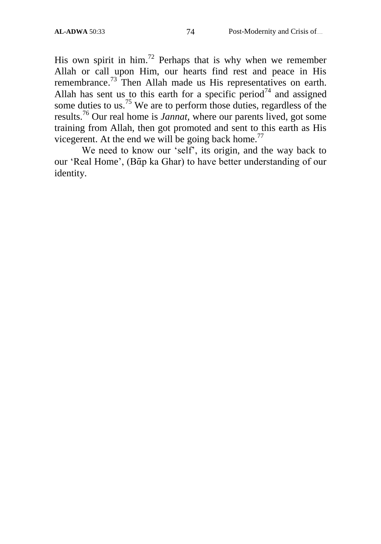His own spirit in him.<sup>72</sup> Perhaps that is why when we remember Allah or call upon Him, our hearts find rest and peace in His remembrance.<sup>73</sup> Then Allah made us His representatives on earth. Allah has sent us to this earth for a specific period<sup>74</sup> and assigned some duties to us.<sup>75</sup> We are to perform those duties, regardless of the results.<sup>76</sup> Our real home is *Jannat,* where our parents lived, got some training from Allah, then got promoted and sent to this earth as His vicegerent. At the end we will be going back home.<sup>77</sup>

We need to know our 'self', its origin, and the way back to our "Real Home", (Bᾱp ka Ghar) to have better understanding of our identity.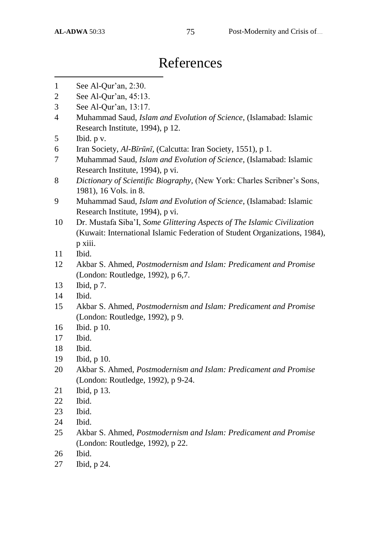# References

- $\overline{a}$ See Al-Qur"an, 2:30.
- See Al-Qur"an, 45:13.
- See Al-Qur"an, 13:17.
- Muhammad Saud, *Islam and Evolution of Science*, (Islamabad: Islamic Research Institute, 1994), p 12.
- Ibid. p v.
- Iran Society, *Al-Bῑrūnῑ,* (Calcutta: Iran Society, 1551), p 1.
- Muhammad Saud, *Islam and Evolution of Science*, (Islamabad: Islamic Research Institute, 1994), p vi.
- *Dictionary of Scientific Biography,* (New York: Charles Scribner"s Sons, 1981), 16 Vols. in 8.
- Muhammad Saud, *Islam and Evolution of Science*, (Islamabad: Islamic Research Institute, 1994), p vi.
- Dr. Mustafa Siba"I, *Some Glittering Aspects of The Islamic Civilization*  (Kuwait: International Islamic Federation of Student Organizations, 1984), p xiii.
- Ibid.
- Akbar S. Ahmed, *Postmodernism and Islam: Predicament and Promise* (London: Routledge, 1992), p 6,7.
- Ibid, p 7.
- Ibid.
- Akbar S. Ahmed, *Postmodernism and Islam: Predicament and Promise*  (London: Routledge, 1992), p 9.
- Ibid. p 10.
- Ibid.
- Ibid.
- Ibid, p 10.
- Akbar S. Ahmed, *Postmodernism and Islam: Predicament and Promise* (London: Routledge, 1992), p 9-24.
- Ibid, p 13.
- Ibid.
- Ibid.
- Ibid.
- Akbar S. Ahmed, *Postmodernism and Islam: Predicament and Promise* (London: Routledge, 1992), p 22.
- Ibid.
- Ibid, p 24.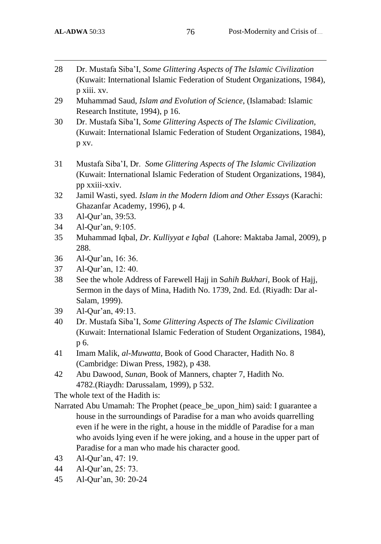$\overline{\phantom{a}}$ 

- 28 Dr. Mustafa Siba"I, *Some Glittering Aspects of The Islamic Civilization*  (Kuwait: International Islamic Federation of Student Organizations, 1984), p xiii. xv.
- 29 Muhammad Saud, *Islam and Evolution of Science*, (Islamabad: Islamic Research Institute, 1994), p 16.
- 30 Dr. Mustafa Siba"I, *Some Glittering Aspects of The Islamic Civilization,*  (Kuwait: International Islamic Federation of Student Organizations, 1984), p xv.
- 31 Mustafa Siba"I, Dr. *Some Glittering Aspects of The Islamic Civilization*  (Kuwait: International Islamic Federation of Student Organizations, 1984), pp xxiii-xxiv.
- 32 Jamil Wasti, syed. *Islam in the Modern Idiom and Other Essays* (Karachi: Ghazanfar Academy, 1996), p 4.
- 33 Al-Qur"an, 39:53.
- 34 Al-Qur"an, 9:105.
- 35 Muhammad Iqbal, *Dr. Kulliyyat e Iqbal* (Lahore: Maktaba Jamal, 2009), p 288.
- 36 Al-Qur"an, 16: 36.
- 37 Al-Qur"an, 12: 40.
- 38 See the whole Address of Farewell Hajj in S*ahih Bukhari*, Book of Hajj, Sermon in the days of Mina, Hadith No. 1739, 2nd. Ed. (Riyadh: Dar al-Salam, 1999).
- 39 Al-Qur"an, 49:13.
- 40 Dr. Mustafa Siba"I, *Some Glittering Aspects of The Islamic Civilization*  (Kuwait: International Islamic Federation of Student Organizations, 1984), p 6.
- 41 Imam Malik, *al-Muwatta,* Book of Good Character, Hadith No. 8 (Cambridge: Diwan Press, 1982), p 438.
- 42 Abu Dawood, *Sunan,* Book of Manners, chapter 7, Hadith No. 4782.(Riaydh: Darussalam, 1999), p 532.

The whole text of the Hadith is:

- Narrated Abu Umamah: The Prophet (peace\_be\_upon\_him) said: I guarantee a house in the surroundings of Paradise for a man who avoids quarrelling even if he were in the right, a house in the middle of Paradise for a man who avoids lying even if he were joking, and a house in the upper part of Paradise for a man who made his character good.
- 43 Al-Qur"an, 47: 19.
- 44 Al-Qur"an, 25: 73.
- 45 Al-Qur"an, 30: 20-24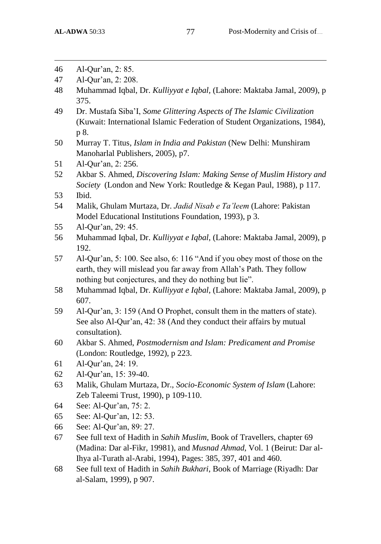$\overline{\phantom{a}}$ 

- 46 Al-Qur"an, 2: 85.
- 47 Al-Qur"an, 2: 208.
- 48 Muhammad Iqbal, Dr. *Kulliyyat e Iqbal,* (Lahore: Maktaba Jamal, 2009), p 375.
- 49 Dr. Mustafa Siba"I, *Some Glittering Aspects of The Islamic Civilization*  (Kuwait: International Islamic Federation of Student Organizations, 1984), p 8.
- 50 Murray T. Titus*, Islam in India and Pakistan* (New Delhi: Munshiram Manoharlal Publishers, 2005), p7.
- 51 Al-Qur'an, 2: 256.
- 52 Akbar S. Ahmed, *Discovering Islam: Making Sense of Muslim History and Society* (London and New York: Routledge & Kegan Paul, 1988), p 117.
- 53 Ibid.
- 54 Malik, Ghulam Murtaza, Dr. *Jadid Nisab e Ta'leem* (Lahore: Pakistan Model Educational Institutions Foundation, 1993), p 3.
- 55 Al-Qur"an, 29: 45.
- 56 Muhammad Iqbal, Dr. *Kulliyyat e Iqbal*, (Lahore: Maktaba Jamal, 2009), p 192.
- 57 Al-Qur"an, 5: 100. See also, 6: 116 "And if you obey most of those on the earth, they will mislead you far away from Allah"s Path. They follow nothing but conjectures, and they do nothing but lie".
- 58 Muhammad Iqbal, Dr. *Kulliyyat e Iqbal*, (Lahore: Maktaba Jamal, 2009), p 607.
- 59 Al-Qur"an, 3: 159 (And O Prophet, consult them in the matters of state). See also Al-Qur'an, 42: 38 (And they conduct their affairs by mutual consultation).
- 60 Akbar S. Ahmed, *Postmodernism and Islam: Predicament and Promise* (London: Routledge, 1992), p 223.
- 61 Al-Qur"an, 24: 19.
- 62 Al-Qur"an, 15: 39-40.
- 63 Malik, Ghulam Murtaza, Dr., *Socio-Economic System of Islam* (Lahore: Zeb Taleemi Trust, 1990), p 109-110.
- 64 See: Al-Qur"an, 75: 2.
- 65 See: Al-Qur"an, 12: 53.
- 66 See: Al-Qur"an, 89: 27.
- 67 See full text of Hadith in *Sahih Muslim,* Book of Travellers, chapter 69 (Madina: Dar al-Fikr, 19981), and *Musnad Ahmad*, Vol. 1 (Beirut: Dar al-Ihya al-Turath al-Arabi, 1994), Pages: 385, 397, 401 and 460.
- 68 See full text of Hadith in *Sahih Bukhari*, Book of Marriage (Riyadh: Dar al-Salam, 1999), p 907.